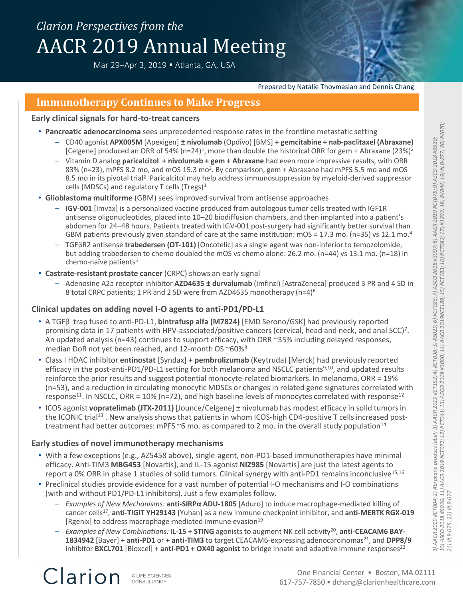# *Clarion Perspectives from the* AACR 2019 Annual Meeting

Mar 29-Apr 3, 2019 . Atlanta, GA, USA



# **Immunotherapy Continues to Make Progress**

#### **Early clinical signals for hard-to-treat cancers**

- **Pancreatic adenocarcinoma** sees unprecedented response rates in the frontline metastatic setting
	- CD40 agonist **APX005M** [Apexigen] **± nivolumab** (Opdivo) [BMS] **+ gemcitabine + nab-paclitaxel (Abraxane)**  [Celgene] produced an ORR of 54% (n=24)<sup>1</sup>, more than double the historical ORR for gem + Abraxane (23%)<sup>2</sup>
	- Vitamin D analog **paricalcitol + nivolumab + gem + Abraxane** had even more impressive results, with ORR 83% (n=23), mPFS 8.2 mo, and mOS 15.3 mo<sup>3</sup>. By comparison, gem + Abraxane had mPFS 5.5 mo and mOS 8.5 mo in its pivotal trial<sup>2</sup>. Paricalcitol may help address immunosuppression by myeloid-derived suppressor cells (MDSCs) and regulatory T cells (Tregs)<sup>3</sup>
- **Glioblastoma multiforme** (GBM) sees improved survival from antisense approaches
	- **IGV-001** [Imvax] is a personalized vaccine produced from autologous tumor cells treated with IGF1R antisense oligonucleotides, placed into 10–20 biodiffusion chambers, and then implanted into a patient's abdomen for 24–48 hours. Patients treated with IGV-001 post-surgery had significantly better survival than GBM patients previously given standard of care at the same institution:  $mOS = 17.3$  mo. (n=35) vs 12.1 mo.<sup>4</sup>
	- TGFβR2 antisense **trabedersen (OT-101)** [Oncotelic] as a single agent was non-inferior to temozolomide, but adding trabedersen to chemo doubled the mOS vs chemo alone: 26.2 mo. (n=44) vs 13.1 mo. (n=18) in chemo-naïve patients<sup>5</sup>
- **Castrate-resistant prostate cancer** (CRPC) shows an early signal
	- Adenosine A2a receptor inhibitor **AZD4635 ± durvalumab** (Imfinzi) [AstraZeneca] produced 3 PR and 4 SD in 8 total CRPC patients; 1 PR and 2 SD were from AZD4635 monotherapy (n=4)<sup>6</sup>

### **Clinical updates on adding novel I-O agents to anti-PD1/PD-L1**

- A TGFβ trap fused to anti-PD-L1, **bintrafusp alfa (M7824)** [EMD Serono/GSK] had previously reported promising data in 17 patients with HPV-associated/positive cancers (cervical, head and neck, and anal SCC)<sup>7</sup>. An updated analysis (n=43) continues to support efficacy, with ORR ~35% including delayed responses, median DoR not yet been reached, and 12-month OS ~60%<sup>8</sup>
- Class I HDAC inhibitor **entinostat** [Syndax] + **pembrolizumab** (Keytruda) [Merck] had previously reported efficacy in the post-anti-PD1/PD-L1 setting for both melanoma and NSCLC patients<sup>9,10</sup>, and updated results reinforce the prior results and suggest potential monocyte-related biomarkers. In melanoma, ORR = 19% (n=53), and a reduction in circulating monocytic MDSCs or changes in related gene signatures correlated with response<sup>11</sup>. In NSCLC, ORR = 10% ( $n=72$ ), and high baseline levels of monocytes correlated with response<sup>12</sup>
- ICOS agonist **vopratelimab (JTX-2011)** [Jounce/Celgene] ± nivolumab has modest efficacy in solid tumors in the ICONIC trial<sup>13</sup>. New analysis shows that patients in whom ICOS-high CD4-positive T cells increased posttreatment had better outcomes: mPFS  $\sim$ 6 mo. as compared to 2 mo. in the overall study population<sup>14</sup>

### **Early studies of novel immunotherapy mechanisms**

- With a few exceptions (e.g., AZ5458 above), single-agent, non-PD1-based immunotherapies have minimal efficacy. Anti-TIM3 **MBG453** [Novartis], and IL-15 agonist **NIZ985** [Novartis] are just the latest agents to report a 0% ORR in phase 1 studies of solid tumors. Clinical synergy with anti-PD1 remains inconclusive<sup>15,16</sup>
- Preclinical studies provide evidence for a vast number of potential I-O mechanisms and I-O combinations (with and without PD1/PD-L1 inhibitors). Just a few examples follow.
	- *Examples of New Mechanisms:* **anti-SIRPα ADU-1805** [Aduro] to induce macrophage-mediated killing of cancer cells<sup>17</sup> , **anti-TIGIT YH29143** [Yuhan] as a new immune checkpoint inhibitor, and **anti-MERTK RGX-019** [Rgenix] to address macrophage-mediated immune evasion<sup>19</sup>
	- *Examples of New Combinations:* **IL-15 + STING** agonists to augment NK cell activity<sup>20</sup>, anti-CEACAM6 BAY-**1834942** [Bayer] **+ anti-PD1** or **+ anti-TIM3** to target CEACAM6-expressing adenocarcinomas<sup>21</sup>, and DPP8/9 inhibitor **BXCL701** [Bioxcel] + **anti-PD1 + OX40 agonist** to bridge innate and adaptive immune responses<sup>22</sup>

Clarion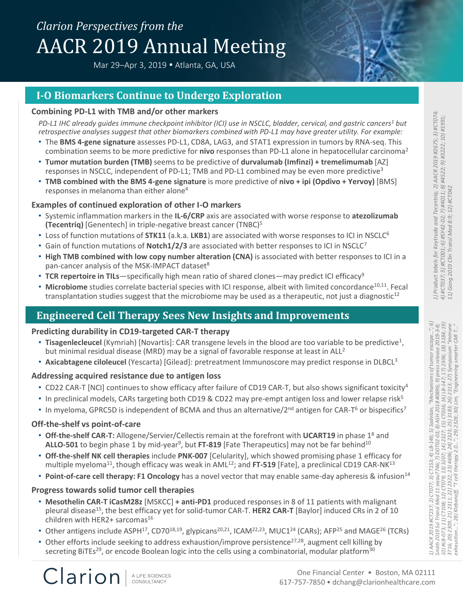# *Clarion Perspectives from the* AACR 2019 Annual Meeting

Mar 29-Apr 3, 2019 . Atlanta, GA, USA



### **Combining PD-L1 with TMB and/or other markers**

*PD-L1 IHC already guides immune checkpoint inhibitor (ICI) use in NSCLC, bladder, cervical, and gastric cancers<sup>1</sup> but retrospective analyses suggest that other biomarkers combined with PD-L1 may have greater utility. For example:*

- The **BMS 4-gene signature** assesses PD-L1, CD8A, LAG3, and STAT1 expression in tumors by RNA-seq. This combination seems to be more predictive for **nivo** responses than PD-L1 alone in hepatocellular carcinoma<sup>2</sup>
- **Tumor mutation burden (TMB)** seems to be predictive of **durvalumab (Imfinzi) + tremelimumab** [AZ] responses in NSCLC, independent of PD-L1; TMB and PD-L1 combined may be even more predictive<sup>3</sup>
- **TMB combined with the BMS 4-gene signature** is more predictive of **nivo + ipi (Opdivo + Yervoy)** [BMS] responses in melanoma than either alone<sup>4</sup>

## **Examples of continued exploration of other I-O markers**

- Systemic inflammation markers in the **IL-6/CRP** axis are associated with worse response to **atezolizumab (Tecentriq)** [Genentech] in triple-negative breast cancer (TNBC)<sup>5</sup>
- Loss of function mutations of **STK11** (a.k.a. **LKB1**) are associated with worse responses to ICI in NSCLC<sup>6</sup>
- Gain of function mutations of **Notch1/2/3** are associated with better responses to ICI in NSCLC<sup>7</sup>
- **High TMB combined with low copy number alteration (CNA)** is associated with better responses to ICI in a pan-cancer analysis of the MSK-IMPACT dataset<sup>8</sup>
- **TCR repertoire in TILs**—specifically high mean ratio of shared clones—may predict ICI efficacy<sup>9</sup>
- Microbiome studies correlate bacterial species with ICI response, albeit with limited concordance<sup>10,11</sup>. Fecal transplantation studies suggest that the microbiome may be used as a therapeutic, not just a diagnostic $12$

# **Engineered Cell Therapy Sees New Insights and Improvements**

### **Predicting durability in CD19-targeted CAR-T therapy**

- Tisagenlecleucel (Kymriah) [Novartis]: CAR transgene levels in the blood are too variable to be predictive<sup>1</sup>, but minimal residual disease (MRD) may be a signal of favorable response at least in ALL<sup>2</sup>
- **Axicabtagene ciloleucel** (Yescarta) [Gilead]: pretreatment Immunoscore may predict response in DLBCL<sup>3</sup>

# **Addressing acquired resistance due to antigen loss**

- CD22 CAR-T [NCI] continues to show efficacy after failure of CD19 CAR-T, but also shows significant toxicity<sup>4</sup>
- In preclinical models, CARs targeting both CD19 & CD22 may pre-empt antigen loss and lower relapse risk<sup>5</sup>
- In myeloma, GPRC5D is independent of BCMA and thus an alternative/ $2^{nd}$  antigen for CAR-T<sup>6</sup> or bispecifics<sup>7</sup>

# **Off-the-shelf vs point-of-care**

Clarion

- **Off-the-shelf CAR-T:** Allogene/Servier/Cellectis remain at the forefront with **UCART19** in phase 1<sup>8</sup> and ALLO-501 to begin phase 1 by mid-year<sup>9</sup>, but FT-819 [Fate Therapeutics] may not be far behind<sup>10</sup>
- **Off-the-shelf NK cell therapies** include **PNK-007** [Celularity], which showed promising phase 1 efficacy for multiple myeloma<sup>11</sup>, though efficacy was weak in  $AML<sup>12</sup>$ ; and **FT-519** [Fate], a preclinical CD19 CAR-NK<sup>13</sup>
- **Point-of-care cell therapy: F1 Oncology** has a novel vector that may enable same-day apheresis & infusion<sup>14</sup>

### **Progress towards solid tumor cell therapies**

- **Mesothelin CAR-T iCasM28z** [MSKCC] **+ anti-PD1** produced responses in 8 of 11 patients with malignant pleural disease<sup>15</sup>, the best efficacy yet for solid-tumor CAR-T. **HER2 CAR-T** [Baylor] induced CRs in 2 of 10 children with HER2+ sarcomas<sup>16</sup>
- Other antigens include ASPH<sup>17</sup>, CD70<sup>18,19</sup>, glypicans<sup>20,21</sup>, ICAM<sup>22,23</sup>, MUC1<sup>24</sup> (CARs); AFP<sup>25</sup> and MAGE<sup>26</sup> (TCRs)
- Other efforts include seeking to address exhaustion/improve persistence<sup>27,28</sup>, augment cell killing by secreting BiTEs<sup>29</sup>, or encode Boolean logic into the cells using a combinatorial, modular platform<sup>30</sup>